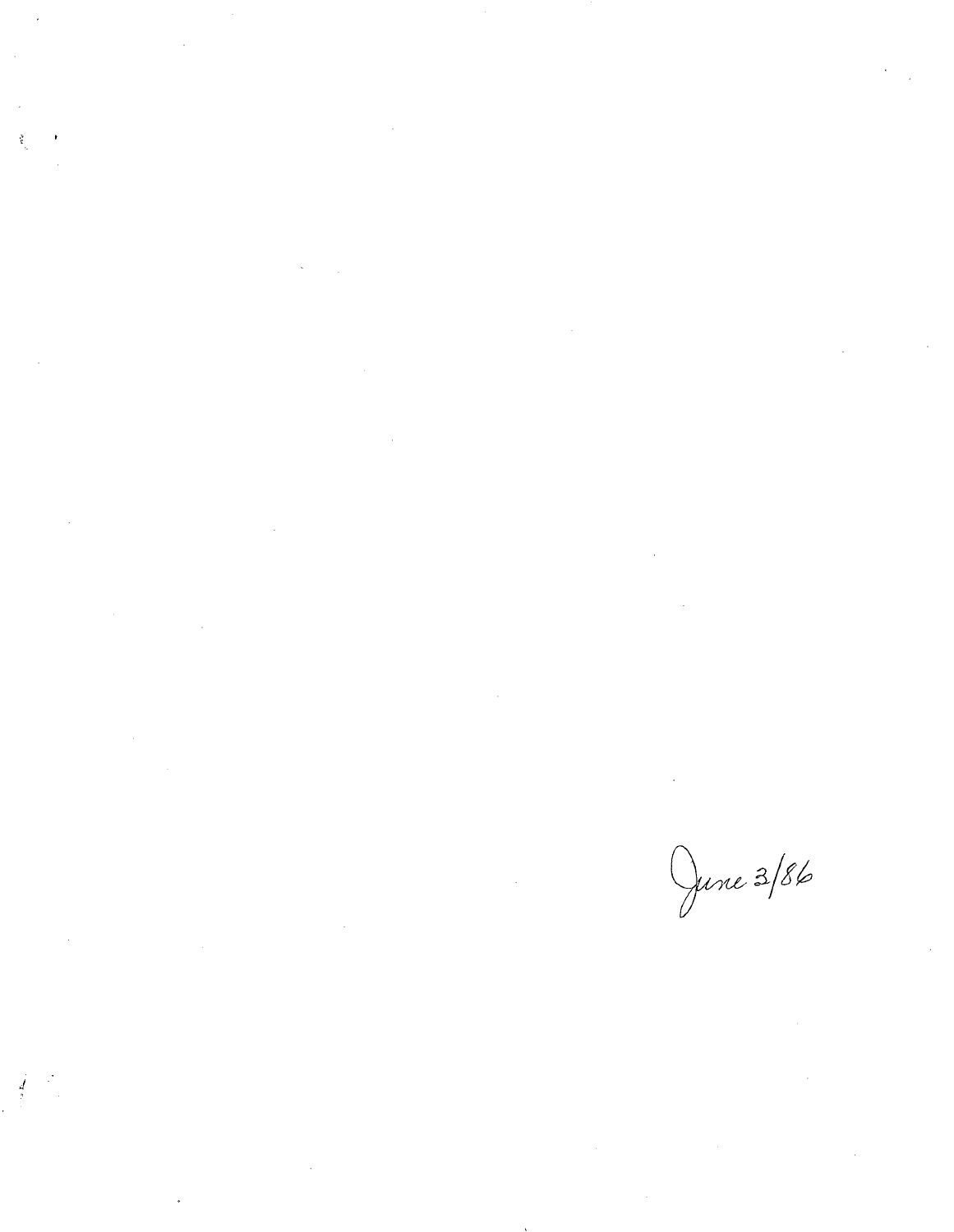$\label{eq:2} \mathcal{L} = \mathcal{L} \left( \mathcal{L} \right) \left( \mathcal{L} \right)$  $\label{eq:2.1} \frac{1}{\sqrt{2}}\int_{\mathbb{R}^3}\frac{1}{\sqrt{2}}\left(\frac{1}{\sqrt{2}}\right)^2\frac{1}{\sqrt{2}}\left(\frac{1}{\sqrt{2}}\right)^2\frac{1}{\sqrt{2}}\left(\frac{1}{\sqrt{2}}\right)^2.$  $\frac{1}{\mathbf{r}}$ 

 $\label{eq:2.1} \mathcal{L}(\mathcal{L}^{\text{max}}_{\mathcal{L}}(\mathcal{L}^{\text{max}}_{\mathcal{L}}(\mathcal{L}^{\text{max}}_{\mathcal{L}}(\mathcal{L}^{\text{max}}_{\mathcal{L}^{\text{max}}_{\mathcal{L}}(\mathcal{L}^{\text{max}}_{\mathcal{L}^{\text{max}}_{\mathcal{L}^{\text{max}}_{\mathcal{L}^{\text{max}}_{\mathcal{L}^{\text{max}}_{\mathcal{L}^{\text{max}}_{\mathcal{L}^{\text{max}}_{\mathcal{L}^{\text{max}}_{\mathcal{L}^{\text{max}}$ 

 $\label{eq:2.1} \frac{1}{\sqrt{2}}\int_{\mathbb{R}^3}\frac{1}{\sqrt{2}}\left(\frac{1}{\sqrt{2}}\right)^2\frac{1}{\sqrt{2}}\left(\frac{1}{\sqrt{2}}\right)^2\frac{1}{\sqrt{2}}\left(\frac{1}{\sqrt{2}}\right)^2\frac{1}{\sqrt{2}}\left(\frac{1}{\sqrt{2}}\right)^2\frac{1}{\sqrt{2}}\left(\frac{1}{\sqrt{2}}\right)^2\frac{1}{\sqrt{2}}\frac{1}{\sqrt{2}}\frac{1}{\sqrt{2}}\frac{1}{\sqrt{2}}\frac{1}{\sqrt{2}}\frac{1}{\sqrt{2}}$ 

 $\label{eq:2.1} \mathcal{L}(\mathcal{L}^{\text{max}}_{\mathcal{L}}(\mathcal{L}^{\text{max}}_{\mathcal{L}})) \leq \mathcal{L}(\mathcal{L}^{\text{max}}_{\mathcal{L}}(\mathcal{L}^{\text{max}}_{\mathcal{L}}))$ 

 $\label{eq:2} \frac{1}{\sqrt{2}}\left(\frac{1}{\sqrt{2}}\right)^{2} \left(\frac{1}{\sqrt{2}}\right)^{2}$ 

 $\label{eq:2.1} \frac{1}{\sqrt{2}}\left(\frac{1}{\sqrt{2}}\right)^{2} \left(\frac{1}{\sqrt{2}}\right)^{2} \left(\frac{1}{\sqrt{2}}\right)^{2} \left(\frac{1}{\sqrt{2}}\right)^{2} \left(\frac{1}{\sqrt{2}}\right)^{2} \left(\frac{1}{\sqrt{2}}\right)^{2} \left(\frac{1}{\sqrt{2}}\right)^{2} \left(\frac{1}{\sqrt{2}}\right)^{2} \left(\frac{1}{\sqrt{2}}\right)^{2} \left(\frac{1}{\sqrt{2}}\right)^{2} \left(\frac{1}{\sqrt{2}}\right)^{2} \left(\$ 

 $\label{eq:2} \int\limits_{\mathbb{R}^3}\frac{1}{\rho}\left(\frac{1}{\rho}\right)^2\frac{1}{\rho}\,d\mu$ 

June 3/86

 $\label{eq:2.1} \frac{1}{\sqrt{2}}\int_{\mathbb{R}^3}\frac{1}{\sqrt{2}}\left(\frac{1}{\sqrt{2}}\right)^2\frac{1}{\sqrt{2}}\left(\frac{1}{\sqrt{2}}\right)^2\frac{1}{\sqrt{2}}\left(\frac{1}{\sqrt{2}}\right)^2\frac{1}{\sqrt{2}}\left(\frac{1}{\sqrt{2}}\right)^2\frac{1}{\sqrt{2}}\left(\frac{1}{\sqrt{2}}\right)^2\frac{1}{\sqrt{2}}\frac{1}{\sqrt{2}}\frac{1}{\sqrt{2}}\frac{1}{\sqrt{2}}\frac{1}{\sqrt{2}}\frac{1}{\sqrt{2}}$ 

 $\label{eq:2.1} \mathcal{L}(\mathcal{L}(\mathcal{L})) = \mathcal{L}(\mathcal{L}(\mathcal{L})) = \mathcal{L}(\mathcal{L}(\mathcal{L})) = \mathcal{L}(\mathcal{L}(\mathcal{L})) = \mathcal{L}(\mathcal{L}(\mathcal{L})) = \mathcal{L}(\mathcal{L}(\mathcal{L})) = \mathcal{L}(\mathcal{L}(\mathcal{L})) = \mathcal{L}(\mathcal{L}(\mathcal{L})) = \mathcal{L}(\mathcal{L}(\mathcal{L})) = \mathcal{L}(\mathcal{L}(\mathcal{L})) = \mathcal{L}(\mathcal{L}(\mathcal{L})) = \math$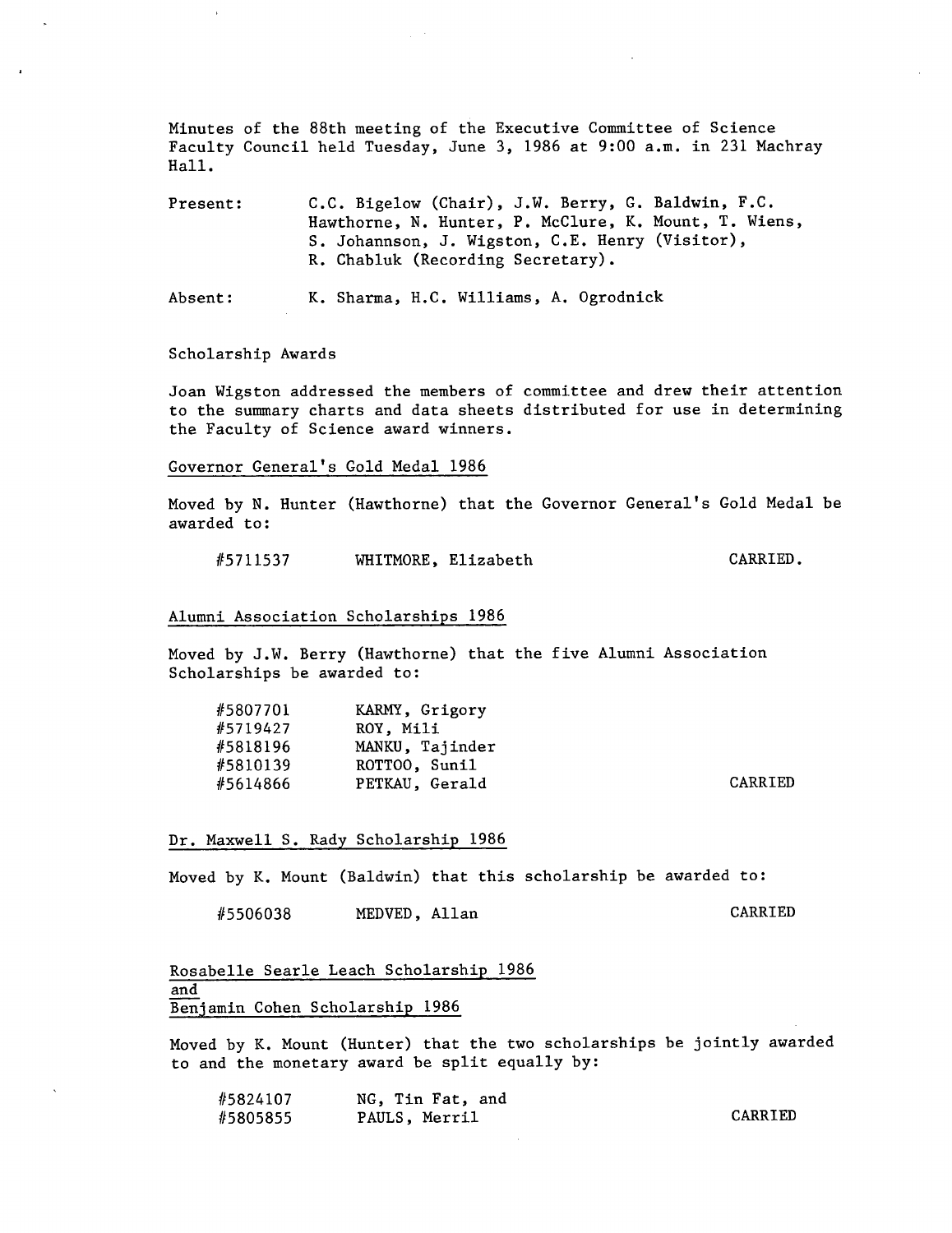Minutes of the 88th meeting of the Executive Committee of Science Faculty Council held Tuesday, June 3, 1986 at 9:00 a.m. in 231 Machray Hall.

Present: C.C. Bigelow (Chair), J.W. Berry, G. Baldwin, F.C. Hawthorne, N. Hunter, P. McClure, K. Mount, T. Wiens, S. Johannson, J. Wigston, C.E. Henry (Visitor), R. Chabluk (Recording Secretary).

Absent: K. Sharma, H.C. Williams, A. Ogrodnick

Scholarship Awards

Joan Wigston addressed the members of committee and drew their attention to the summary charts and data sheets distributed for use in determining the Faculty of Science award winners.

Governor General's Gold Medal 1986

Moved by N. Hunter (Hawthorne) that the Governor General's Gold Medal be awarded to:

#5711537 WHITMORE, Elizabeth CARRIED.

## Alumni Association Scholarships 1986

Moved by J.W. Berry (Hawthorne) that the five Alumni Association Scholarships be awarded to:

| #5807701 | KARMY, Grigory  |                |
|----------|-----------------|----------------|
| #5719427 | ROY. Mili       |                |
| #5818196 | MANKU, Taiinder |                |
| #5810139 | ROTTOO, Sunil   |                |
| #5614866 | PETKAU, Gerald  | <b>CARRIED</b> |

Dr. Maxwell S. Rady Scholarship 1986

Moved by K. Mount (Baldwin) that this scholarship be awarded to:

#5506038 MEDVED, Allan CARRIED

Rosabelle Searle Leach Scholarship 1986 and Benjamin Cohen Scholarship 1986

Moved by K. Mount (Hunter) that the two scholarships be jointly awarded to and the monetary award be split equally by:

| #5824107 | NG, Tin Fat, and |         |
|----------|------------------|---------|
| #5805855 | PAULS, Merril    | CARRIED |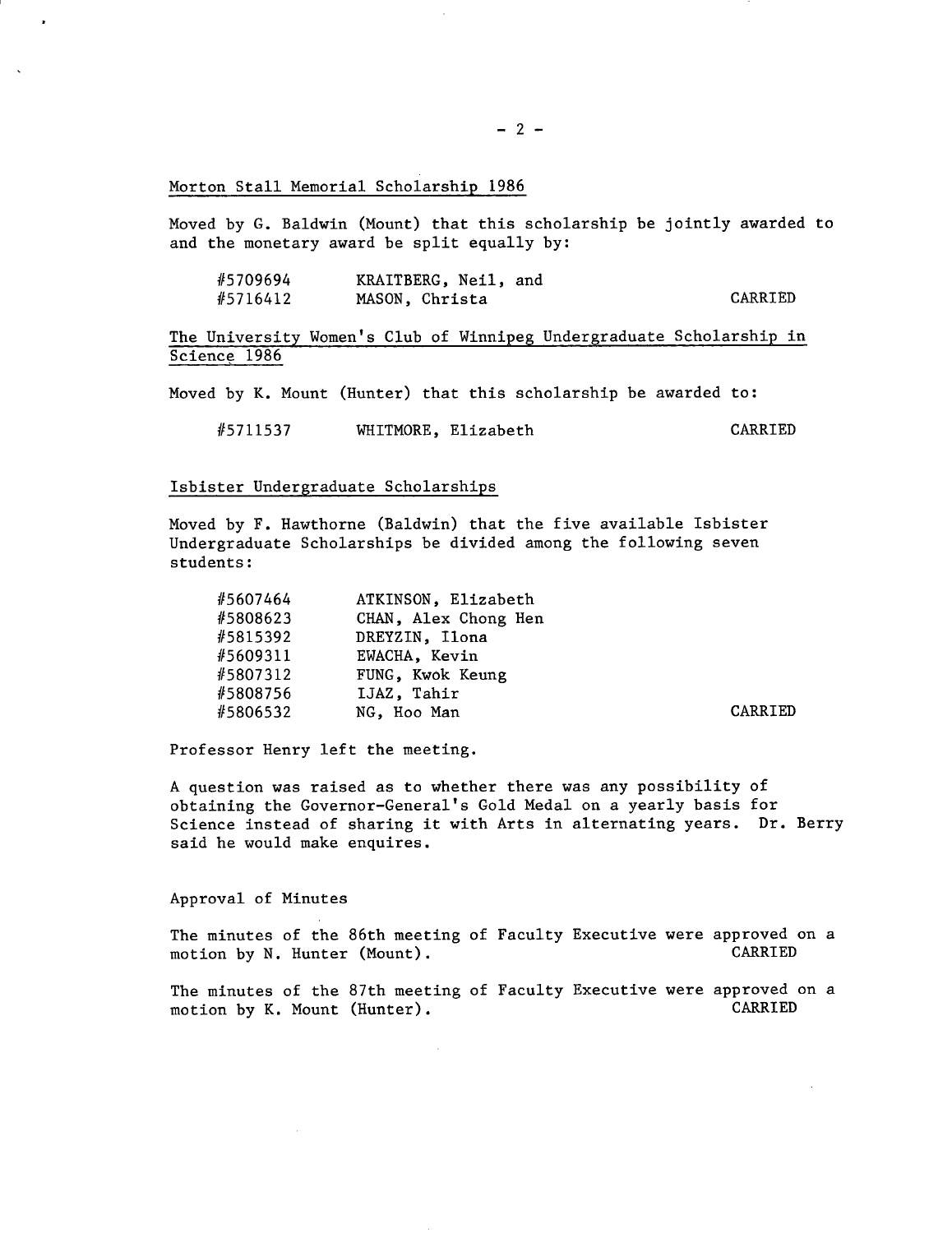Morton Stall Memorial Scholarship 1986

Moved by G. Baldwin (Mount) that this scholarship be jointly awarded to and the monetary award be split equally by:

| #5709694 | KRAITBERG, Neil, and |         |
|----------|----------------------|---------|
| #5716412 | MASON, Christa       | CARRIED |

The University Women's Club of Winnipeg Undergraduate Scholarship in Science 1986

Moved by K. Mount (Hunter) that this scholarship be awarded to:

#5711537 WHITMORE, Elizabeth CARRIED

## Isbister Undergraduate Scholarships

Moved by F. Hawthorne (Baldwin) that the five available Isbister Undergraduate Scholarships be divided among the following seven students:

| #5607464 | ATKINSON, Elizabeth  |                |
|----------|----------------------|----------------|
| #5808623 | CHAN, Alex Chong Hen |                |
| #5815392 | DREYZIN, Ilona       |                |
| #5609311 | EWACHA, Kevin        |                |
| #5807312 | FUNG, Kwok Keung     |                |
| #5808756 | IJAZ. Tahir          |                |
| #5806532 | NG. Hoo Man          | <b>CARRIED</b> |

Professor Henry left the meeting.

A question was raised as to whether there was any possibility of obtaining the Governor-General's Gold Medal on a yearly basis for Science instead of sharing it with Arts in alternating years. Dr. Berry said he would make enquires.

Approval of Minutes

The minutes of the 86th meeting of Faculty Executive were approved on a motion by N. Hunter (Mount). motion by N. Hunter (Mount).

The minutes of the 87th meeting of Faculty Executive were approved on a motion by K. Mount (Hunter). CARRIED